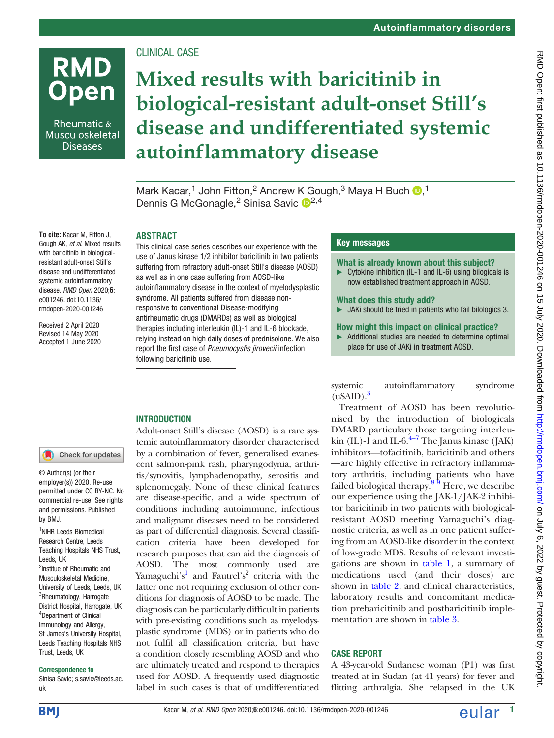## CLINICAL CASE

### Rheumatic & Musculoskeletal **Diseases**

**RMD** 

# **Open**

## Mixed results with baricitinib in biological-resistant adult-onset Still's disease and undifferentiated systemic autoinflammatory disease

Mark Kacar[,](http://orcid.org/0000-0002-8962-5642)<sup>1</sup> John Fitton,<sup>2</sup> Andrew K Gough,<sup>3</sup> Maya H Buch D,<sup>1</sup> Dennis G McGonagle,<sup>2</sup> Sinisa Savic <sup>12,4</sup>

#### ABSTRACT

This clinical case series describes our experience with the use of Janus kinase 1/2 inhibitor baricitinib in two patients suffering from refractory adult-onset Still's disease (AOSD) as well as in one case suffering from AOSD-like autoinflammatory disease in the context of myelodysplastic syndrome. All patients suffered from disease nonresponsive to conventional Disease-modifying antirheumatic drugs (DMARDs) as well as biological therapies including interleukin (IL)-1 and IL-6 blockade, relying instead on high daily doses of prednisolone. We also report the first case of Pneumocystis jirovecii infection following baricitinib use.

#### Key messages

#### What is already known about this subject?

► Cytokine inhibition (IL-1 and IL-6) using bilogicals is now established treatment approach in AOSD.

#### What does this study add?

► JAKi should be tried in patients who fail bilologics 3.

#### How might this impact on clinical practice?

► Additional studies are needed to determine optimal place for use of JAKi in treatment AOSD.

systemic autoinflammatory syndrome  $(uSAID).<sup>3</sup>$  $(uSAID).<sup>3</sup>$  $(uSAID).<sup>3</sup>$ 

Treatment of AOSD has been revolutionised by the introduction of biologicals DMARD particulary those targeting interleukin (IL)-1 and IL-6. $^{4-7}$  $^{4-7}$  $^{4-7}$  The Janus kinase (JAK) inhibitors—tofacitinib, baricitinib and others —are highly effective in refractory inflammatory arthritis, including patients who have failed biological therapy.<sup>[8 9](#page-3-4)</sup> Here, we describe our experience using the JAK-1/JAK-2 inhibitor baricitinib in two patients with biologicalresistant AOSD meeting Yamaguchi's diagnostic criteria, as well as in one patient suffering from an AOSD-like disorder in the context of low-grade MDS. Results of relevant investigations are shown in [table 1](#page-1-0), a summary of medications used (and their doses) are shown in [table 2,](#page-1-1) and clinical characteristics, laboratory results and concomitant medication prebaricitinib and postbaricitinib implementation are shown in [table 3](#page-2-0).

#### CASE REPORT

A 43-year-old Sudanese woman (P1) was first treated at in Sudan (at 41 years) for fever and flitting arthralgia. She relapsed in the UK

To cite: Kacar M, Fitton J, Gough AK, et al. Mixed results with baricitinib in biologicalresistant adult-onset Still's disease and undifferentiated systemic autoinflammatory disease. RMD Open 2020;6: e001246. doi:10.1136/ rmdopen-2020-001246

> Received 2 April 2020 Revised 14 May 2020 Accepted 1 June 2020

#### **INTRODUCTION**

Check for updates

© Author(s) (or their employer(s)) 2020. Re-use permitted under CC BY-NC. No commercial re-use. See rights and permissions. Published by BMJ.

<sup>1</sup>NIHR Leeds Biomedical Research Centre, Leeds Teaching Hospitals NHS Trust, Leeds, UK <sup>2</sup>Institue of Rheumatic and Musculoskeletal Medicine, University of Leeds, Leeds, UK <sup>3</sup>Rheumatology, Harrogate District Hospital, Harrogate, UK 4 Department of Clinical Immunology and Allergy, St James's University Hospital, Leeds Teaching Hospitals NHS Trust, Leeds, UK

#### Correspondence to

Sinisa Savic; [s.savic@leeds.ac.](mailto:s.savic@leeds.ac.uk) [uk](mailto:s.savic@leeds.ac.uk)

Adult-onset Still's disease (AOSD) is a rare systemic autoinflammatory disorder characterised by a combination of fever, generalised evanescent salmon-pink rash, pharyngodynia, arthritis/synovitis, lymphadenopathy, serositis and splenomegaly. None of these clinical features are disease-specific, and a wide spectrum of conditions including autoimmune, infectious and malignant diseases need to be considered as part of differential diagnosis. Several classification criteria have been developed for research purposes that can aid the diagnosis of AOSD. The most commonly used are Yamaguchi's [1](#page-3-0) and Fautrel's <sup>2</sup> criteria with the latter one not requiring exclusion of other conditions for diagnosis of AOSD to be made. The diagnosis can be particularly difficult in patients with pre-existing conditions such as myelodysplastic syndrome (MDS) or in patients who do not fulfil all classification criteria, but have a condition closely resembling AOSD and who are ultimately treated and respond to therapies used for AOSD. A frequently used diagnostic label in such cases is that of undifferentiated

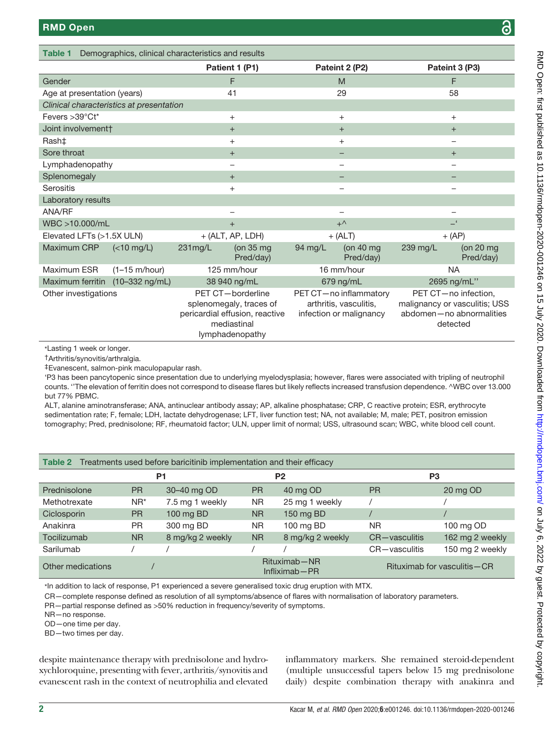<span id="page-1-0"></span>Table 1 Demographics, clinical characteristics and results

|                                                               |                                          |                                                                                                                  | Patient 1 (P1)         |                                                                             | Pateint 2 (P2)           |                                                                                               | Pateint 3 (P3)                   |
|---------------------------------------------------------------|------------------------------------------|------------------------------------------------------------------------------------------------------------------|------------------------|-----------------------------------------------------------------------------|--------------------------|-----------------------------------------------------------------------------------------------|----------------------------------|
| Gender                                                        |                                          |                                                                                                                  | F                      |                                                                             | M                        |                                                                                               | F                                |
| Age at presentation (years)                                   |                                          | 41                                                                                                               |                        | 29                                                                          |                          | 58                                                                                            |                                  |
|                                                               | Clinical characteristics at presentation |                                                                                                                  |                        |                                                                             |                          |                                                                                               |                                  |
| Fevers > 39°Ct*                                               |                                          | $\ddot{}$                                                                                                        |                        | $\ddot{}$                                                                   |                          | $\ddot{}$                                                                                     |                                  |
| Joint involvement†                                            |                                          | $^{+}$                                                                                                           |                        | $^{+}$                                                                      |                          | $\ddot{}$                                                                                     |                                  |
| Rash‡                                                         |                                          | $\ddot{}$                                                                                                        |                        | $\ddot{}$                                                                   |                          | -                                                                                             |                                  |
| Sore throat                                                   |                                          | $^{+}$                                                                                                           |                        |                                                                             |                          | $\ddot{}$                                                                                     |                                  |
| Lymphadenopathy                                               |                                          | $\overline{\phantom{0}}$                                                                                         |                        |                                                                             |                          | -                                                                                             |                                  |
| Splenomegaly                                                  |                                          | $+$                                                                                                              |                        |                                                                             |                          |                                                                                               |                                  |
| Serositis                                                     |                                          | $^{+}$                                                                                                           |                        |                                                                             |                          |                                                                                               |                                  |
| Laboratory results                                            |                                          |                                                                                                                  |                        |                                                                             |                          |                                                                                               |                                  |
| ANA/RF                                                        |                                          |                                                                                                                  |                        |                                                                             |                          |                                                                                               |                                  |
| WBC >10.000/mL                                                |                                          | $+$                                                                                                              |                        | $+^{\wedge}$                                                                |                          | $-^{\epsilon}$                                                                                |                                  |
| Elevated LFTs (>1.5X ULN)                                     |                                          | $+$ (ALT, AP, LDH)                                                                                               |                        | $+$ (ALT)                                                                   |                          | $+$ (AP)                                                                                      |                                  |
| Maximum CRP                                                   | $(<10$ mg/L)                             | $231$ mg/L                                                                                                       | (on 35 mg<br>Pred/day) | 94 mg/L                                                                     | (on $40$ mg<br>Pred/day) | 239 mg/L                                                                                      | (on $20 \text{ mg}$<br>Pred/day) |
| Maximum ESR                                                   | $(1-15 \text{ m/hour})$                  |                                                                                                                  | 125 mm/hour            |                                                                             | 16 mm/hour               | <b>NA</b>                                                                                     |                                  |
| Maximum ferritin (10-332 ng/mL)                               |                                          |                                                                                                                  | 38 940 ng/mL           |                                                                             | 679 ng/mL<br>2695 ng/mL" |                                                                                               |                                  |
| Other investigations                                          |                                          | PET CT-borderline<br>splenomegaly, traces of<br>pericardial effusion, reactive<br>mediastinal<br>lymphadenopathy |                        | PET CT-no inflammatory<br>arthritis, vasculitis,<br>infection or malignancy |                          | PET CT-no infection,<br>malignancy or vasculitis; USS<br>abdomen-no abnormalities<br>detected |                                  |
| *Lasting 1 week or longer.<br>†Δrthritis/synovitis/arthralaia |                                          |                                                                                                                  |                        |                                                                             |                          |                                                                                               |                                  |

†Arthritis/synovitis/arthralgia.

‡Evanescent, salmon-pink maculopapular rash.

'P3 has been pancytopenic since presentation due to underlying myelodysplasia; however, flares were associated with tripling of neutrophil counts. ''The elevation of ferritin does not correspond to disease flares but likely reflects increased transfusion dependence. ^WBC over 13.000 but 77% PBMC.

ALT, alanine aminotransferase; ANA, antinuclear antibody assay; AP, alkaline phosphatase; CRP, C reactive protein; ESR, erythrocyte sedimentation rate; F, female; LDH, lactate dehydrogenase; LFT, liver function test; NA, not available; M, male; PET, positron emission tomography; Pred, prednisolone; RF, rheumatoid factor; ULN, upper limit of normal; USS, ultrasound scan; WBC, white blood cell count.

<span id="page-1-1"></span>

| Table 2 Treatments used before baricitinib implementation and their efficacy |                |                  |           |                                   |                |                               |
|------------------------------------------------------------------------------|----------------|------------------|-----------|-----------------------------------|----------------|-------------------------------|
|                                                                              | P <sub>1</sub> |                  |           | P <sub>2</sub>                    | P <sub>3</sub> |                               |
| Prednisolone                                                                 | <b>PR</b>      | 30-40 mg OD      | <b>PR</b> | 40 mg OD                          | <b>PR</b>      | 20 mg OD                      |
| Methotrexate                                                                 | $NR^*$         | 7.5 mg 1 weekly  | <b>NR</b> | 25 mg 1 weekly                    |                |                               |
| Ciclosporin                                                                  | <b>PR</b>      | 100 mg BD        | <b>NR</b> | 150 mg BD                         |                |                               |
| Anakinra                                                                     | <b>PR</b>      | 300 mg BD        | <b>NR</b> | 100 mg BD                         | <b>NR</b>      | 100 mg OD                     |
| Tocilizumab                                                                  | <b>NR</b>      | 8 mg/kg 2 weekly | <b>NR</b> | 8 mg/kg 2 weekly                  | CR-vasculitis  | 162 mg 2 weekly               |
| Sarilumab                                                                    |                |                  |           |                                   | CR-vasculitis  | 150 mg 2 weekly               |
| Other medications                                                            |                |                  |           | Rituximab-NR<br>$Infliximab - PR$ |                | Rituximab for vasculitis – CR |

\*In addition to lack of response, P1 experienced a severe generalised toxic drug eruption with MTX.

CR—complete response defined as resolution of all symptoms/absence of flares with normalisation of laboratory parameters.

PR—partial response defined as >50% reduction in frequency/severity of symptoms.

NR—no response.

OD—one time per day.

BD—two times per day.

despite maintenance therapy with prednisolone and hydroxychloroquine, presenting with fever, arthritis/synovitis and evanescent rash in the context of neutrophilia and elevated

inflammatory markers. She remained steroid-dependent (multiple unsuccessful tapers below 15 mg prednisolone daily) despite combination therapy with anakinra and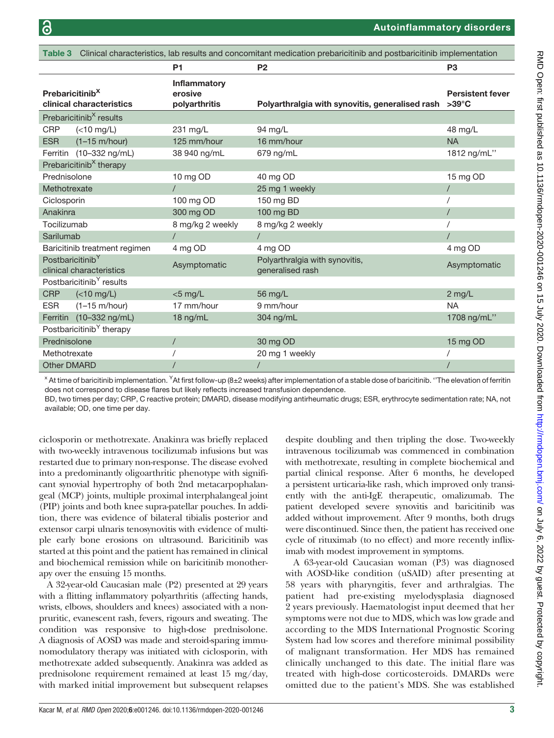<span id="page-2-0"></span>

| Table 3 Clinical characteristics, lab results and concomitant medication prebaricitinib and postbaricitinib implementation |                                      |                                                 |                                                       |                         |  |  |
|----------------------------------------------------------------------------------------------------------------------------|--------------------------------------|-------------------------------------------------|-------------------------------------------------------|-------------------------|--|--|
|                                                                                                                            |                                      | <b>P1</b>                                       | <b>P2</b>                                             | P <sub>3</sub>          |  |  |
| Prebaricitinib <sup>X</sup>                                                                                                | clinical characteristics             | <b>Inflammatory</b><br>erosive<br>polyarthritis | Polyarthralgia with synovitis, generalised rash >39°C | <b>Persistent fever</b> |  |  |
|                                                                                                                            | Prebaricitinib <sup>X</sup> results  |                                                 |                                                       |                         |  |  |
| <b>CRP</b>                                                                                                                 | $(<10$ mg/L)                         | 231 mg/L                                        | 94 mg/L                                               | 48 mg/L                 |  |  |
| <b>ESR</b>                                                                                                                 | $(1-15 \text{ m/hour})$              | 125 mm/hour                                     | 16 mm/hour                                            | <b>NA</b>               |  |  |
|                                                                                                                            | Ferritin (10-332 ng/mL)              | 38 940 ng/mL                                    | 679 ng/mL                                             | 1812 ng/mL"             |  |  |
| Prebaricitinib <sup>X</sup> therapy                                                                                        |                                      |                                                 |                                                       |                         |  |  |
| Prednisolone                                                                                                               |                                      | 10 mg OD                                        | 40 mg OD                                              | 15 mg OD                |  |  |
| Methotrexate                                                                                                               |                                      |                                                 | 25 mg 1 weekly                                        | $\prime$                |  |  |
| Ciclosporin                                                                                                                |                                      | 100 mg OD                                       | 150 mg BD                                             |                         |  |  |
| Anakinra                                                                                                                   |                                      | 300 mg OD                                       | 100 mg BD                                             |                         |  |  |
| Tocilizumab                                                                                                                |                                      | 8 mg/kg 2 weekly                                | 8 mg/kg 2 weekly                                      |                         |  |  |
| Sarilumab                                                                                                                  |                                      |                                                 | $\prime$                                              |                         |  |  |
| Baricitinib treatment regimen                                                                                              |                                      | 4 mg OD                                         | 4 mg OD                                               | 4 mg OD                 |  |  |
| Postbaricitinib <sup>Y</sup><br>clinical characteristics                                                                   |                                      | Asymptomatic                                    | Polyarthralgia with synovitis,<br>generalised rash    | Asymptomatic            |  |  |
| Postbaricitinib <sup>Y</sup> results                                                                                       |                                      |                                                 |                                                       |                         |  |  |
| <b>CRP</b>                                                                                                                 | $(<10$ mg/L)                         | $<$ 5 mg/L                                      | 56 mg/L                                               | 2 mg/L                  |  |  |
| <b>ESR</b>                                                                                                                 | $(1-15 \text{ m/hour})$              | 17 mm/hour                                      | 9 mm/hour                                             | <b>NA</b>               |  |  |
|                                                                                                                            | Ferritin (10-332 ng/mL)              | 18 ng/mL                                        | 304 ng/mL                                             | 1708 ng/mL"             |  |  |
|                                                                                                                            | Postbaricitinib <sup>Y</sup> therapy |                                                 |                                                       |                         |  |  |
| Prednisolone                                                                                                               |                                      |                                                 | 30 mg OD                                              | 15 mg OD                |  |  |
| Methotrexate                                                                                                               |                                      |                                                 | 20 mg 1 weekly                                        |                         |  |  |
| <b>Other DMARD</b>                                                                                                         |                                      |                                                 | $\prime$                                              |                         |  |  |

 $^\times$  At time of baricitinib implementation.  $^\times$ At first follow-up (8±2 weeks) after implementation of a stable dose of baricitinib. ''The elevation of ferritin does not correspond to disease flares but likely reflects increased transfusion dependence.

BD, two times per day; CRP, C reactive protein; DMARD, disease modifying antirheumatic drugs; ESR, erythrocyte sedimentation rate; NA, not available; OD, one time per day.

ciclosporin or methotrexate. Anakinra was briefly replaced with two-weekly intravenous tocilizumab infusions but was restarted due to primary non-response. The disease evolved into a predominantly oligoarthritic phenotype with significant synovial hypertrophy of both 2nd metacarpophalangeal (MCP) joints, multiple proximal interphalangeal joint (PIP) joints and both knee supra-patellar pouches. In addition, there was evidence of bilateral tibialis posterior and extensor carpi ulnaris tenosynovitis with evidence of multiple early bone erosions on ultrasound. Baricitinib was started at this point and the patient has remained in clinical and biochemical remission while on baricitinib monotherapy over the ensuing 15 months.

A 32-year-old Caucasian male (P2) presented at 29 years with a flitting inflammatory polyarthritis (affecting hands, wrists, elbows, shoulders and knees) associated with a nonpruritic, evanescent rash, fevers, rigours and sweating. The condition was responsive to high-dose prednisolone. A diagnosis of AOSD was made and steroid-sparing immunomodulatory therapy was initiated with ciclosporin, with methotrexate added subsequently. Anakinra was added as prednisolone requirement remained at least 15 mg/day, with marked initial improvement but subsequent relapses

despite doubling and then tripling the dose. Two-weekly intravenous tocilizumab was commenced in combination with methotrexate, resulting in complete biochemical and partial clinical response. After 6 months, he developed a persistent urticaria-like rash, which improved only transiently with the anti-IgE therapeutic, omalizumab. The patient developed severe synovitis and baricitinib was added without improvement. After 9 months, both drugs were discontinued. Since then, the patient has received one cycle of rituximab (to no effect) and more recently infliximab with modest improvement in symptoms.

A 63-year-old Caucasian woman (P3) was diagnosed with AOSD-like condition (uSAID) after presenting at 58 years with pharyngitis, fever and arthralgias. The patient had pre-existing myelodysplasia diagnosed 2 years previously. Haematologist input deemed that her symptoms were not due to MDS, which was low grade and according to the MDS International Prognostic Scoring System had low scores and therefore minimal possibility of malignant transformation. Her MDS has remained clinically unchanged to this date. The initial flare was treated with high-dose corticosteroids. DMARDs were omitted due to the patient's MDS. She was established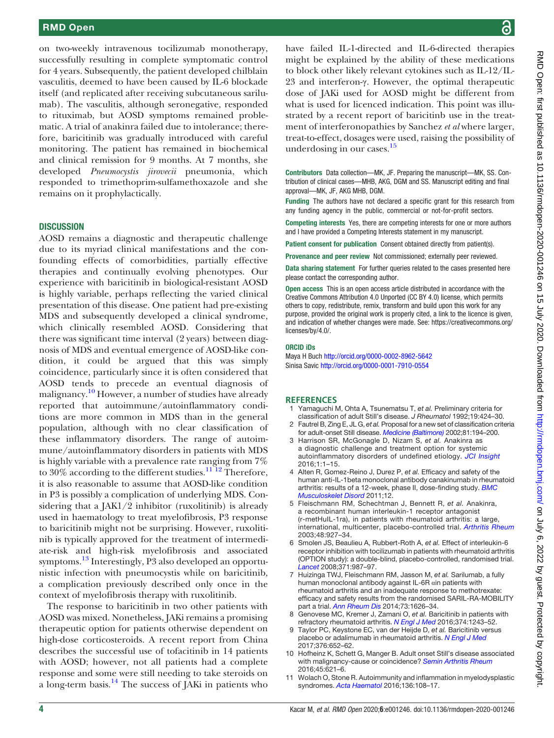#### RMD Open

on two-weekly intravenous tocilizumab monotherapy, successfully resulting in complete symptomatic control for 4 years. Subsequently, the patient developed chilblain vasculitis, deemed to have been caused by IL-6 blockade itself (and replicated after receiving subcutaneous sarilumab). The vasculitis, although seronegative, responded to rituximab, but AOSD symptoms remained problematic. A trial of anakinra failed due to intolerance; therefore, baricitinib was gradually introduced with careful monitoring. The patient has remained in biochemical and clinical remission for 9 months. At 7 months, she developed Pneumocystis jirovecii pneumonia, which responded to trimethoprim-sulfamethoxazole and she remains on it prophylactically.

#### **DISCUSSION**

AOSD remains a diagnostic and therapeutic challenge due to its myriad clinical manifestations and the confounding effects of comorbidities, partially effective therapies and continually evolving phenotypes. Our experience with baricitinib in biological-resistant AOSD is highly variable, perhaps reflecting the varied clinical presentation of this disease. One patient had pre-existing MDS and subsequently developed a clinical syndrome, which clinically resembled AOSD. Considering that there was significant time interval (2 years) between diagnosis of MDS and eventual emergence of AOSD-like condition, it could be argued that this was simply coincidence, particularly since it is often considered that AOSD tends to precede an eventual diagnosis of malignancy.<sup>10</sup> However, a number of studies have already reported that autoimmune/autoinflammatory conditions are more common in MDS than in the general population, although with no clear classification of these inflammatory disorders. The range of autoimmune/autoinflammatory disorders in patients with MDS is highly variable with a prevalence rate ranging from 7% to 30% according to the different studies.<sup>[11 12](#page-3-6)</sup> Therefore, it is also reasonable to assume that AOSD-like condition in P3 is possibly a complication of underlying MDS. Considering that a JAK1/2 inhibitor (ruxolitinib) is already used in haematology to treat myelofibrosis, P3 response to baricitinib might not be surprising. However, ruxolitinib is typically approved for the treatment of intermediate-risk and high-risk myelofibrosis and associated symptoms.<sup>[13](#page-4-0)</sup> Interestingly, P3 also developed an opportunistic infection with pneumocystis while on baricitinib, a complication previously described only once in the context of myelofibrosis therapy with ruxolitinib.

The response to baricitinib in two other patients with AOSD was mixed. Nonetheless, JAKi remains a promising therapeutic option for patients otherwise dependent on high-dose corticosteroids. A recent report from China describes the successful use of tofacitinib in 14 patients with AOSD; however, not all patients had a complete response and some were still needing to take steroids on a long-term basis.<sup>14</sup> The success of JAKi in patients who

have failed IL-1-directed and IL-6-directed therapies might be explained by the ability of these medications to block other likely relevant cytokines such as IL-12/IL-23 and interferon-γ. However, the optimal therapeutic dose of JAKi used for AOSD might be different from what is used for licenced indication. This point was illustrated by a recent report of baricitinb use in the treatment of interferonopathies by Sanchez et al where larger, treat-to-effect, dosages were used, raising the possibility of underdosing in our cases.<sup>[15](#page-4-2)</sup>

Contributors Data collection—MK, JF. Preparing the manuscript—MK, SS. Contribution of clinical cases—MHB, AKG, DGM and SS. Manuscript editing and final approval—MK, JF, AKG MHB, DGM.

Funding The authors have not declared a specific grant for this research from any funding agency in the public, commercial or not-for-profit sectors.

Competing interests Yes, there are competing interests for one or more authors and I have provided a Competing Interests statement in my manuscript.

Patient consent for publication Consent obtained directly from patient(s).

Provenance and peer review Not commissioned; externally peer reviewed.

Data sharing statement For further queries related to the cases presented here please contact the corresponding author.

Open access This is an open access article distributed in accordance with the Creative Commons Attribution 4.0 Unported (CC BY 4.0) license, which permits others to copy, redistribute, remix, transform and build upon this work for any purpose, provided the original work is properly cited, a link to the licence is given, and indication of whether changes were made. See: [https://creativecommons.org/](https://creativecommons.org/licenses/by/4.0/) [licenses/by/4.0/](https://creativecommons.org/licenses/by/4.0/).

#### ORCID iDs

Maya H Buch <http://orcid.org/0000-0002-8962-5642> Sinisa Savic <http://orcid.org/0000-0001-7910-0554>

#### **REFERENCES**

- <span id="page-3-0"></span>Yamaguchi M, Ohta A, Tsunematsu T, et al. Preliminary criteria for classification of adult Still's disease. J Rheumatol 1992;19:424–30.
- 2 Fautrel B, Zing E, JL G, et al. Proposal for a new set of classification criteria for adult-onset Still disease. [Medicine \(Baltimore\)](https://dx.doi.org/10.1097/00005792-200205000-00003) 2002;81:194–200.
- <span id="page-3-1"></span>3 Harrison SR, McGonagle D, Nizam S, et al. Anakinra as a diagnostic challenge and treatment option for systemic autoinflammatory disorders of undefined etiology. [JCI Insight](https://dx.doi.org/10.1172/jci.insight.86336) 2016;1:1–15.
- <span id="page-3-2"></span>4 Alten R, Gomez-Reino J, Durez P, et al. Efficacy and safety of the human anti-IL-1beta monoclonal antibody canakinumab in rheumatoid arthritis: results of a 12-week, phase II, dose-finding study. **[BMC](https://dx.doi.org/10.1186/1471-2474-12-153)** [Musculoskelet Disord](https://dx.doi.org/10.1186/1471-2474-12-153) 2011;12.
- 5 Fleischmann RM, Schechtman J, Bennett R, et al. Anakinra, a recombinant human interleukin-1 receptor antagonist (r-metHuIL-1ra), in patients with rheumatoid arthritis: a large, international, multicenter, placebo-controlled trial. [Arthritis Rheum](https://dx.doi.org/10.1002/art.10870) 2003;48:927–34.
- 6 Smolen JS, Beaulieu A, Rubbert-Roth A, et al. Effect of interleukin-6 receptor inhibition with tocilizumab in patients with rheumatoid arthritis (OPTION study): a double-blind, placebo-controlled, randomised trial. [Lancet](https://dx.doi.org/10.1016/S0140-6736(08)60453-5) 2008;371:987–97.
- <span id="page-3-3"></span>7 Huizinga TWJ, Fleischmann RM, Jasson M, et al. Sarilumab, a fully human monoclonal antibody against IL-6R αin patients with rheumatoid arthritis and an inadequate response to methotrexate: efficacy and safety results from the randomised SARIL-RA-MOBILITY part a trial. [Ann Rheum Dis](https://dx.doi.org/10.1136/annrheumdis-2013-204405) 2014;73:1626–34.
- <span id="page-3-4"></span>8 Genovese MC, Kremer J, Zamani O, et al. Baricitinib in patients with refractory rheumatoid arthritis. [N Engl J Med](https://dx.doi.org/10.1056/NEJMoa1507247) 2016;374:1243-52.
- 9 Taylor PC, Keystone EC, van der Heijde D, et al. Baricitinib versus placebo or adalimumab in rheumatoid arthritis. [N Engl J Med](https://dx.doi.org/10.1056/NEJMoa1608345) 2017;376:652–62.
- <span id="page-3-5"></span>10 Hofheinz K, Schett G, Manger B. Adult onset Still's disease associated with malignancy-cause or coincidence? [Semin Arthritis Rheum](https://dx.doi.org/10.1016/j.semarthrit.2015.10.003) 2016;45:621–6.
- <span id="page-3-6"></span>11 Wolach O, Stone R. Autoimmunity and inflammation in myelodysplastic syndromes. [Acta Haematol](https://dx.doi.org/10.1159/000446062) 2016;136:108–17.